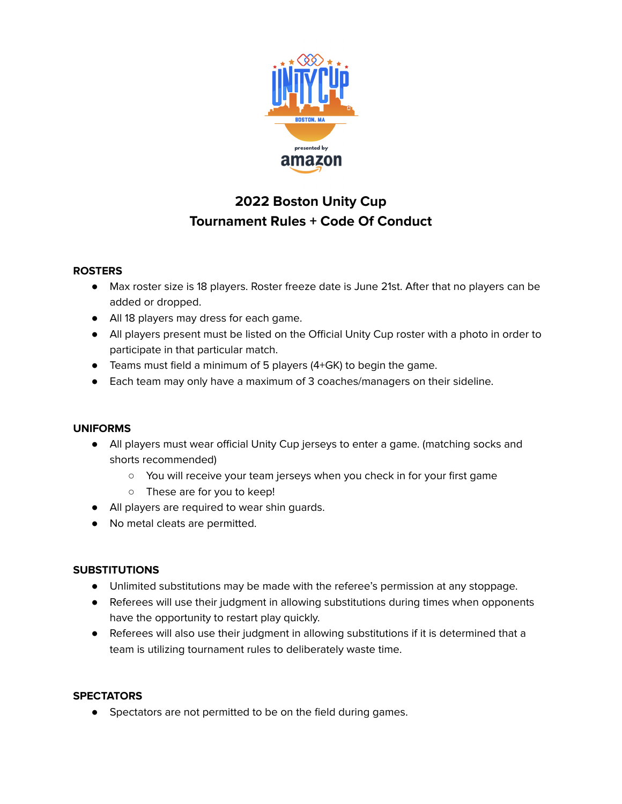

# **2022 Boston Unity Cup Tournament Rules + Code Of Conduct**

## **ROSTERS**

- Max roster size is 18 players. Roster freeze date is June 21st. After that no players can be added or dropped.
- All 18 players may dress for each game.
- All players present must be listed on the Official Unity Cup roster with a photo in order to participate in that particular match.
- Teams must field a minimum of 5 players (4+GK) to begin the game.
- Each team may only have a maximum of 3 coaches/managers on their sideline.

## **UNIFORMS**

- All players must wear official Unity Cup jerseys to enter a game. (matching socks and shorts recommended)
	- You will receive your team jerseys when you check in for your first game
	- These are for you to keep!
- All players are required to wear shin guards.
- No metal cleats are permitted.

## **SUBSTITUTIONS**

- Unlimited substitutions may be made with the referee's permission at any stoppage.
- Referees will use their judgment in allowing substitutions during times when opponents have the opportunity to restart play quickly.
- Referees will also use their judgment in allowing substitutions if it is determined that a team is utilizing tournament rules to deliberately waste time.

#### **SPECTATORS**

● Spectators are not permitted to be on the field during games.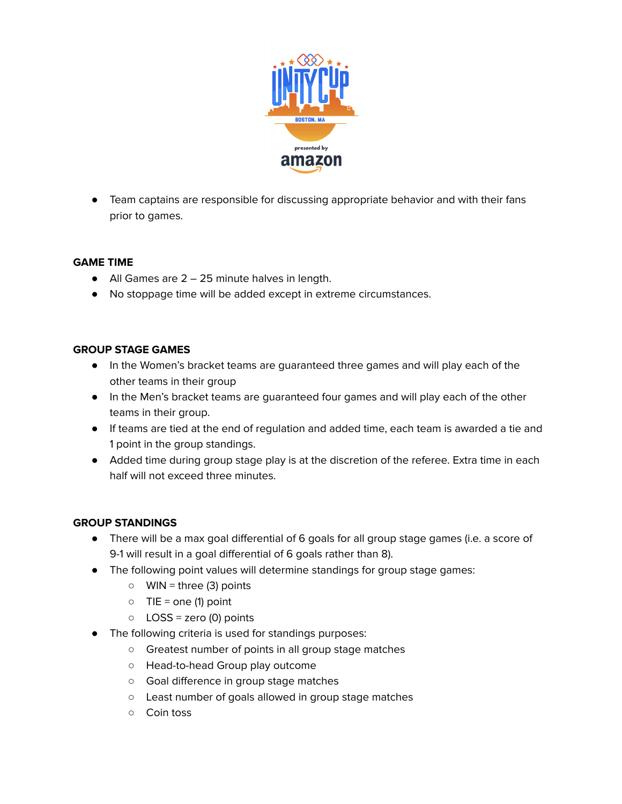

● Team captains are responsible for discussing appropriate behavior and with their fans prior to games.

#### **GAME TIME**

- $\bullet$  All Games are 2 25 minute halves in length.
- No stoppage time will be added except in extreme circumstances.

#### **GROUP STAGE GAMES**

- In the Women's bracket teams are guaranteed three games and will play each of the other teams in their group
- In the Men's bracket teams are guaranteed four games and will play each of the other teams in their group.
- If teams are tied at the end of regulation and added time, each team is awarded a tie and 1 point in the group standings.
- Added time during group stage play is at the discretion of the referee. Extra time in each half will not exceed three minutes.

#### **GROUP STANDINGS**

- There will be a max goal differential of 6 goals for all group stage games (i.e. a score of 9-1 will result in a goal differential of 6 goals rather than 8).
- The following point values will determine standings for group stage games:
	- WIN = three (3) points
	- $\circ$  TIE = one (1) point
	- $\circ$  LOSS = zero (0) points
	- The following criteria is used for standings purposes:
		- Greatest number of points in all group stage matches
		- Head-to-head Group play outcome
		- Goal difference in group stage matches
		- Least number of goals allowed in group stage matches
		- Coin toss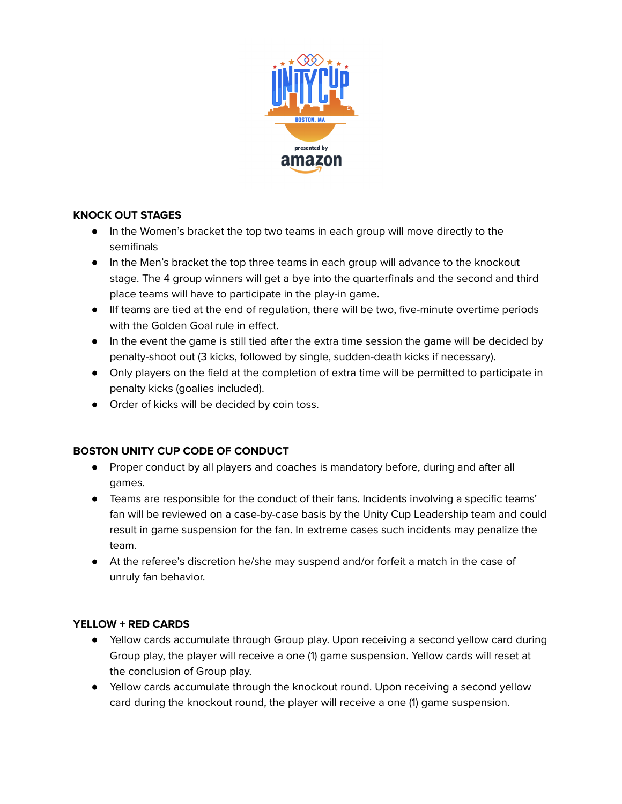

## **KNOCK OUT STAGES**

- In the Women's bracket the top two teams in each group will move directly to the semifinals
- In the Men's bracket the top three teams in each group will advance to the knockout stage. The 4 group winners will get a bye into the quarterfinals and the second and third place teams will have to participate in the play-in game.
- IIf teams are tied at the end of regulation, there will be two, five-minute overtime periods with the Golden Goal rule in effect.
- In the event the game is still tied after the extra time session the game will be decided by penalty-shoot out (3 kicks, followed by single, sudden-death kicks if necessary).
- Only players on the field at the completion of extra time will be permitted to participate in penalty kicks (goalies included).
- Order of kicks will be decided by coin toss.

## **BOSTON UNITY CUP CODE OF CONDUCT**

- Proper conduct by all players and coaches is mandatory before, during and after all games.
- Teams are responsible for the conduct of their fans. Incidents involving a specific teams' fan will be reviewed on a case-by-case basis by the Unity Cup Leadership team and could result in game suspension for the fan. In extreme cases such incidents may penalize the team.
- At the referee's discretion he/she may suspend and/or forfeit a match in the case of unruly fan behavior.

## **YELLOW + RED CARDS**

- Yellow cards accumulate through Group play. Upon receiving a second yellow card during Group play, the player will receive a one (1) game suspension. Yellow cards will reset at the conclusion of Group play.
- Yellow cards accumulate through the knockout round. Upon receiving a second yellow card during the knockout round, the player will receive a one (1) game suspension.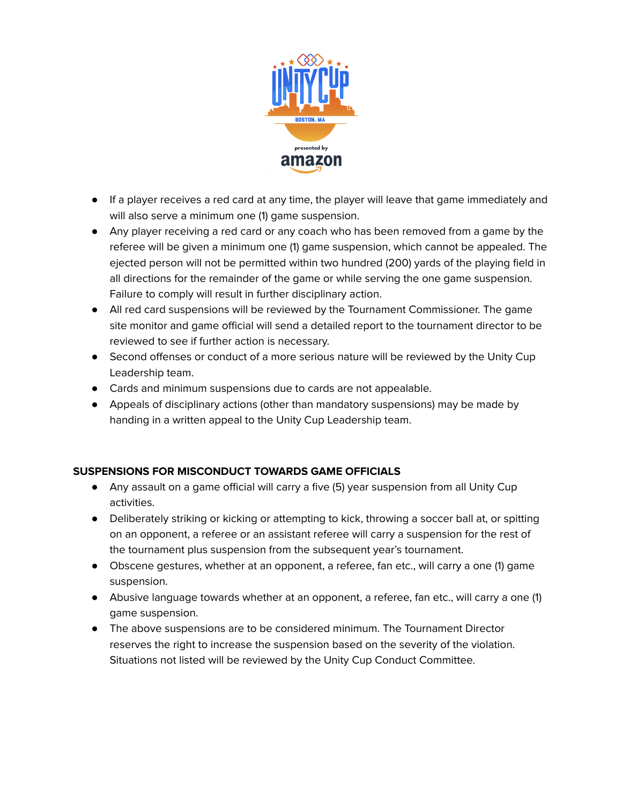

- If a player receives a red card at any time, the player will leave that game immediately and will also serve a minimum one (1) game suspension.
- Any player receiving a red card or any coach who has been removed from a game by the referee will be given a minimum one (1) game suspension, which cannot be appealed. The ejected person will not be permitted within two hundred (200) yards of the playing field in all directions for the remainder of the game or while serving the one game suspension. Failure to comply will result in further disciplinary action.
- All red card suspensions will be reviewed by the Tournament Commissioner. The game site monitor and game official will send a detailed report to the tournament director to be reviewed to see if further action is necessary.
- Second offenses or conduct of a more serious nature will be reviewed by the Unity Cup Leadership team.
- Cards and minimum suspensions due to cards are not appealable.
- Appeals of disciplinary actions (other than mandatory suspensions) may be made by handing in a written appeal to the Unity Cup Leadership team.

#### **SUSPENSIONS FOR MISCONDUCT TOWARDS GAME OFFICIALS**

- Any assault on a game official will carry a five (5) year suspension from all Unity Cup activities.
- Deliberately striking or kicking or attempting to kick, throwing a soccer ball at, or spitting on an opponent, a referee or an assistant referee will carry a suspension for the rest of the tournament plus suspension from the subsequent year's tournament.
- Obscene gestures, whether at an opponent, a referee, fan etc., will carry a one (1) game suspension.
- Abusive language towards whether at an opponent, a referee, fan etc., will carry a one (1) game suspension.
- The above suspensions are to be considered minimum. The Tournament Director reserves the right to increase the suspension based on the severity of the violation. Situations not listed will be reviewed by the Unity Cup Conduct Committee.